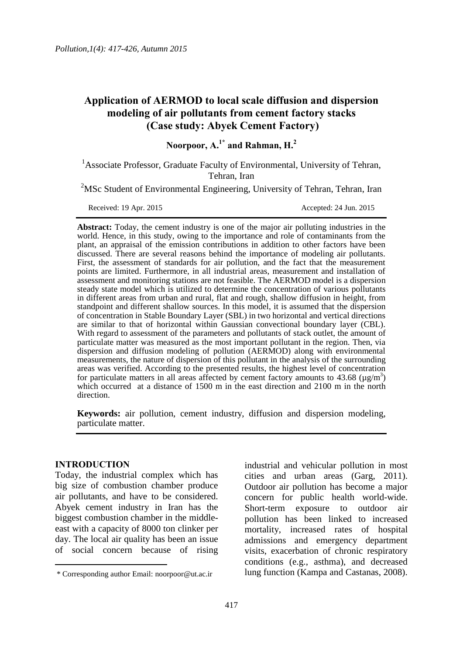# **Application of AERMOD to local scale diffusion and dispersion modeling of air pollutants from cement factory stacks (Case study: Abyek Cement Factory)**

**Noorpoor, A. 1\* and Rahman, H.<sup>2</sup>**

<sup>1</sup>Associate Professor, Graduate Faculty of Environmental, University of Tehran, Tehran, Iran

<sup>2</sup>MSc Student of Environmental Engineering, University of Tehran, Tehran, Iran

Received: 19 Apr. 2015 Accepted: 24 Jun. 2015

**Abstract:** Today, the cement industry is one of the major air polluting industries in the world. Hence, in this study, owing to the importance and role of contaminants from the plant, an appraisal of the emission contributions in addition to other factors have been discussed. There are several reasons behind the importance of modeling air pollutants. First, the assessment of standards for air pollution, and the fact that the measurement points are limited. Furthermore, in all industrial areas, measurement and installation of assessment and monitoring stations are not feasible. The AERMOD model is a dispersion steady state model which is utilized to determine the concentration of various pollutants in different areas from urban and rural, flat and rough, shallow diffusion in height, from standpoint and different shallow sources. In this model, it is assumed that the dispersion of concentration in Stable Boundary Layer (SBL) in two horizontal and vertical directions are similar to that of horizontal within Gaussian convectional boundary layer (CBL). With regard to assessment of the parameters and pollutants of stack outlet, the amount of particulate matter was measured as the most important pollutant in the region. Then, via dispersion and diffusion modeling of pollution (AERMOD) along with environmental measurements, the nature of dispersion of this pollutant in the analysis of the surrounding areas was verified. According to the presented results, the highest level of concentration for particulate matters in all areas affected by cement factory amounts to  $43.68 \, (\mu g/m^3)$ which occurred at a distance of 1500 m in the east direction and 2100 m in the north direction.

**Keywords:** air pollution, cement industry, diffusion and dispersion modeling, particulate matter.

### **INTRODUCTION**

 $\overline{a}$ 

Today, the industrial complex which has big size of combustion chamber produce air pollutants, and have to be considered. Abyek cement industry in Iran has the biggest combustion chamber in the middleeast with a capacity of 8000 ton clinker per day. The local air quality has been an issue of social concern because of rising industrial and vehicular pollution in most cities and urban areas (Garg, 2011). Outdoor air pollution has become a major concern for public health world-wide. Short-term exposure to outdoor air pollution has been linked to increased mortality, increased rates of hospital admissions and emergency department visits, exacerbation of chronic respiratory conditions (e.g., asthma), and decreased lung function (Kampa and Castanas, 2008).

<sup>\*</sup> Corresponding author Email: noorpoor@ut.ac.ir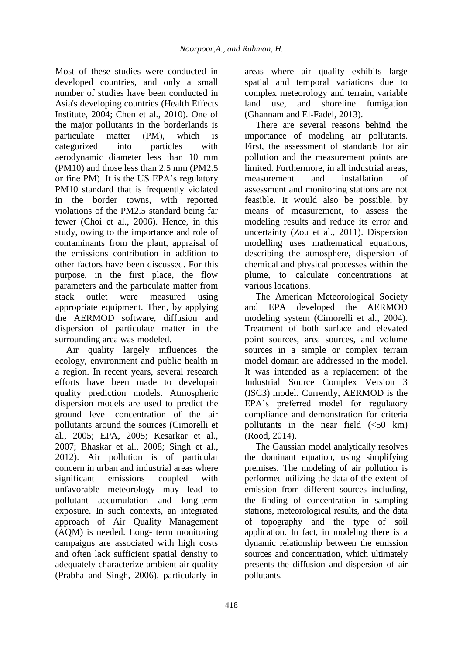Most of these studies were conducted in developed countries, and only a small number of studies have been conducted in Asia's developing countries (Health Effects Institute, 2004; Chen et al., 2010). One of the major pollutants in the borderlands is particulate matter (PM), which is categorized into particles with aerodynamic diameter less than 10 mm (PM10) and those less than 2.5 mm (PM2.5 or fine PM). It is the US EPA's regulatory PM10 standard that is frequently violated in the border towns, with reported violations of the PM2.5 standard being far fewer (Choi et al., 2006). Hence, in this study, owing to the importance and role of contaminants from the plant, appraisal of the emissions contribution in addition to other factors have been discussed. For this purpose, in the first place, the flow parameters and the particulate matter from stack outlet were measured using appropriate equipment. Then, by applying the AERMOD software, diffusion and dispersion of particulate matter in the surrounding area was modeled.

Air quality largely influences the ecology, environment and public health in a region. In recent years, several research efforts have been made to developair quality prediction models. Atmospheric dispersion models are used to predict the ground level concentration of the air pollutants around the sources (Cimorelli et al., 2005; EPA, 2005; Kesarkar et al., 2007; Bhaskar et al., 2008; Singh et al., 2012). Air pollution is of particular concern in urban and industrial areas where significant emissions coupled with unfavorable meteorology may lead to pollutant accumulation and long-term exposure. In such contexts, an integrated approach of Air Quality Management (AQM) is needed. Long- term monitoring campaigns are associated with high costs and often lack sufficient spatial density to adequately characterize ambient air quality (Prabha and Singh, 2006), particularly in

areas where air quality exhibits large spatial and temporal variations due to complex meteorology and terrain, variable land use, and shoreline fumigation (Ghannam and El-Fadel, 2013).

There are several reasons behind the importance of modeling air pollutants. First, the assessment of standards for air pollution and the measurement points are limited. Furthermore, in all industrial areas, measurement and installation of assessment and monitoring stations are not feasible. It would also be possible, by means of measurement, to assess the modeling results and reduce its error and uncertainty (Zou et al., 2011). Dispersion modelling uses mathematical equations, describing the atmosphere, dispersion of chemical and physical processes within the plume, to calculate concentrations at various locations.

The American Meteorological Society and EPA developed the AERMOD modeling system (Cimorelli et al., 2004). Treatment of both surface and elevated point sources, area sources, and volume sources in a simple or complex terrain model domain are addressed in the model. It was intended as a replacement of the Industrial Source Complex Version 3 (ISC3) model. Currently, AERMOD is the EPA's preferred model for regulatory compliance and demonstration for criteria pollutants in the near field  $( $50 \text{ km}$ )$ (Rood, 2014).

The Gaussian model analytically resolves the dominant equation, using simplifying premises. The modeling of air pollution is performed utilizing the data of the extent of emission from different sources including, the finding of concentration in sampling stations, meteorological results, and the data of topography and the type of soil application. In fact, in modeling there is a dynamic relationship between the emission sources and concentration, which ultimately presents the diffusion and dispersion of air pollutants.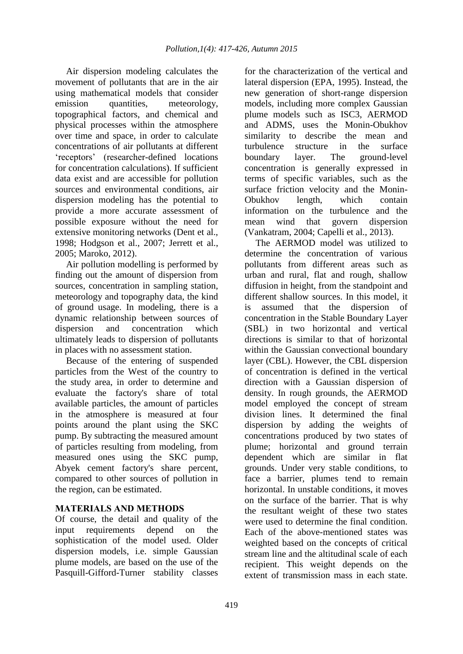Air dispersion modeling calculates the movement of pollutants that are in the air using mathematical models that consider emission quantities, meteorology, topographical factors, and chemical and physical processes within the atmosphere over time and space, in order to calculate concentrations of air pollutants at different 'receptors' (researcher-defined locations for concentration calculations). If sufficient data exist and are accessible for pollution sources and environmental conditions, air dispersion modeling has the potential to provide a more accurate assessment of possible exposure without the need for extensive monitoring networks (Dent et al., 1998; Hodgson et al., 2007; Jerrett et al., 2005; Maroko, 2012).

Air pollution modelling is performed by finding out the amount of dispersion from sources, concentration in sampling station, meteorology and topography data, the kind of ground usage. In modeling, there is a dynamic relationship between sources of dispersion and concentration which ultimately leads to dispersion of pollutants in places with no assessment station.

Because of the entering of suspended particles from the West of the country to the study area, in order to determine and evaluate the factory's share of total available particles, the amount of particles in the atmosphere is measured at four points around the plant using the SKC pump. By subtracting the measured amount of particles resulting from modeling, from measured ones using the SKC pump, Abyek cement factory's share percent, compared to other sources of pollution in the region, can be estimated.

## **MATERIALS AND METHODS**

Of course, the detail and quality of the input requirements depend on the sophistication of the model used. Older dispersion models, i.e. simple Gaussian plume models, are based on the use of the Pasquill-Gifford-Turner stability classes

for the characterization of the vertical and lateral dispersion (EPA, 1995). Instead, the new generation of short-range dispersion models, including more complex Gaussian plume models such as ISC3, AERMOD and ADMS, uses the Monin-Obukhov similarity to describe the mean and turbulence structure in the surface boundary layer. The ground-level concentration is generally expressed in terms of specific variables, such as the surface friction velocity and the Monin-Obukhov length, which contain information on the turbulence and the mean wind that govern dispersion (Vankatram, 2004; Capelli et al., 2013).

The AERMOD model was utilized to determine the concentration of various pollutants from different areas such as urban and rural, flat and rough, shallow diffusion in height, from the standpoint and different shallow sources. In this model, it is assumed that the dispersion of concentration in the Stable Boundary Layer (SBL) in two horizontal and vertical directions is similar to that of horizontal within the Gaussian convectional boundary layer (CBL). However, the CBL dispersion of concentration is defined in the vertical direction with a Gaussian dispersion of density. In rough grounds, the AERMOD model employed the concept of stream division lines. It determined the final dispersion by adding the weights of concentrations produced by two states of plume; horizontal and ground terrain dependent which are similar in flat grounds. Under very stable conditions, to face a barrier, plumes tend to remain horizontal. In unstable conditions, it moves on the surface of the barrier. That is why the resultant weight of these two states were used to determine the final condition. Each of the above-mentioned states was weighted based on the concepts of critical stream line and the altitudinal scale of each recipient. This weight depends on the extent of transmission mass in each state.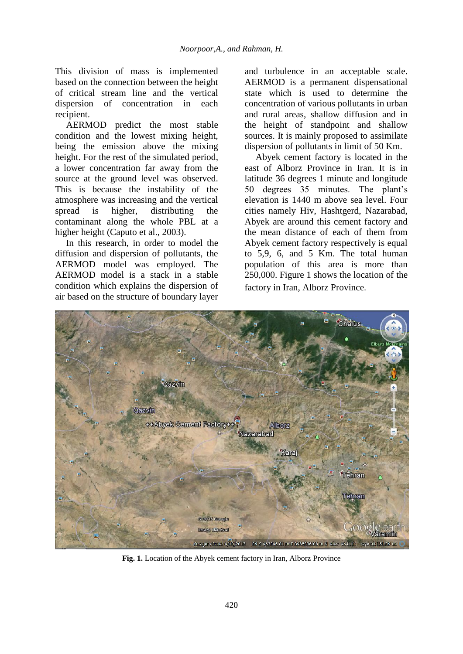This division of mass is implemented based on the connection between the height of critical stream line and the vertical dispersion of concentration in each recipient.

AERMOD predict the most stable condition and the lowest mixing height, being the emission above the mixing height. For the rest of the simulated period, a lower concentration far away from the source at the ground level was observed. This is because the instability of the atmosphere was increasing and the vertical spread is higher, distributing the contaminant along the whole PBL at a higher height (Caputo et al., 2003).

In this research, in order to model the diffusion and dispersion of pollutants, the AERMOD model was employed. The AERMOD model is a stack in a stable condition which explains the dispersion of air based on the structure of boundary layer

and turbulence in an acceptable scale. AERMOD is a permanent dispensational state which is used to determine the concentration of various pollutants in urban and rural areas, shallow diffusion and in the height of standpoint and shallow sources. It is mainly proposed to assimilate dispersion of pollutants in limit of 50 Km.

Abyek cement factory is located in the east of Alborz Province in Iran. It is in latitude 36 degrees 1 minute and longitude 50 degrees 35 minutes. The plant's elevation is 1440 m above sea level. Four cities namely Hiv, Hashtgerd, Nazarabad, Abyek are around this cement factory and the mean distance of each of them from Abyek cement factory respectively is equal to 5,9, 6, and 5 Km. The total human population of this area is more than 250,000. Figure 1 shows the location of the factory in Iran, Alborz Province.



**Fig. 1.** Location of the Abyek cement factory in Iran, Alborz Province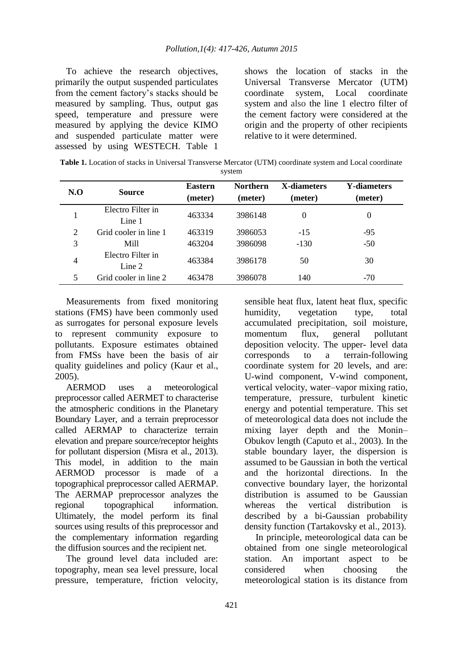To achieve the research objectives, primarily the output suspended particulates from the cement factory's stacks should be measured by sampling. Thus, output gas speed, temperature and pressure were measured by applying the device KIMO and suspended particulate matter were assessed by using WESTECH. Table 1 shows the location of stacks in the Universal Transverse Mercator (UTM) coordinate system, Local coordinate system and also the line 1 electro filter of the cement factory were considered at the origin and the property of other recipients relative to it were determined.

| <b>Table 1.</b> Location of stacks in Universal Transverse Mercator (UTM) coordinate system and Local coordinate |
|------------------------------------------------------------------------------------------------------------------|
| system                                                                                                           |

| $N_{\rm 0}$ | <b>Source</b>               | <b>Eastern</b><br>(meter) | <b>Northern</b><br>(meter) | X-diameters<br>(meter) | <b>Y-diameters</b><br>(meter) |
|-------------|-----------------------------|---------------------------|----------------------------|------------------------|-------------------------------|
|             | Electro Filter in<br>Line 1 | 463334                    | 3986148                    | $\theta$               | $\Omega$                      |
| 2           | Grid cooler in line 1       | 463319                    | 3986053                    | $-15$                  | $-95$                         |
| 3           | Mill                        | 463204                    | 3986098                    | $-130$                 | $-50$                         |
| 4           | Electro Filter in<br>Line 2 | 463384                    | 3986178                    | 50                     | 30                            |
| 5           | Grid cooler in line 2       | 463478                    | 3986078                    | 140                    | $-70$                         |

Measurements from fixed monitoring stations (FMS) have been commonly used as surrogates for personal exposure levels to represent community exposure to pollutants. Exposure estimates obtained from FMSs have been the basis of air quality guidelines and policy (Kaur et al., 2005).

AERMOD uses a meteorological preprocessor called AERMET to characterise the atmospheric conditions in the Planetary Boundary Layer, and a terrain preprocessor called AERMAP to characterize terrain elevation and prepare source/receptor heights for pollutant dispersion (Misra et al., 2013). This model, in addition to the main AERMOD processor is made of a topographical preprocessor called AERMAP. The AERMAP preprocessor analyzes the regional topographical information. Ultimately, the model perform its final sources using results of this preprocessor and the complementary information regarding the diffusion sources and the recipient net.

The ground level data included are: topography, mean sea level pressure, local pressure, temperature, friction velocity, sensible heat flux, latent heat flux, specific humidity, vegetation type, total accumulated precipitation, soil moisture, momentum flux, general pollutant deposition velocity. The upper- level data corresponds to a terrain-following coordinate system for 20 levels, and are: U-wind component, V-wind component, vertical velocity, water–vapor mixing ratio, temperature, pressure, turbulent kinetic energy and potential temperature. This set of meteorological data does not include the mixing layer depth and the Monin– Obukov length (Caputo et al., 2003). In the stable boundary layer, the dispersion is assumed to be Gaussian in both the vertical and the horizontal directions. In the convective boundary layer, the horizontal distribution is assumed to be Gaussian whereas the vertical distribution is described by a bi-Gaussian probability density function (Tartakovsky et al., 2013).

In principle, meteorological data can be obtained from one single meteorological station. An important aspect to be considered when choosing the meteorological station is its distance from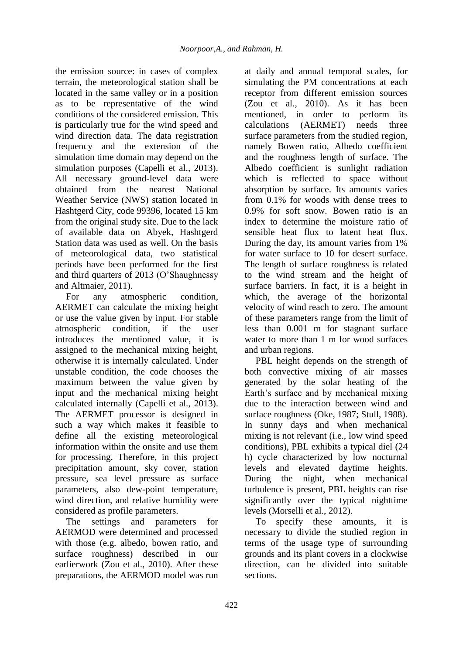the emission source: in cases of complex terrain, the meteorological station shall be located in the same valley or in a position as to be representative of the wind conditions of the considered emission. This is particularly true for the wind speed and wind direction data. The data registration frequency and the extension of the simulation time domain may depend on the simulation purposes (Capelli et al., 2013). All necessary ground-level data were obtained from the nearest National Weather Service (NWS) station located in Hashtgerd City, code 99396, located 15 km from the original study site. Due to the lack of available data on Abyek, Hashtgerd Station data was used as well. On the basis of meteorological data, two statistical periods have been performed for the first and third quarters of 2013 (O'Shaughnessy and Altmaier, 2011).

For any atmospheric condition, AERMET can calculate the mixing height or use the value given by input. For stable atmospheric condition, if the user introduces the mentioned value, it is assigned to the mechanical mixing height, otherwise it is internally calculated. Under unstable condition, the code chooses the maximum between the value given by input and the mechanical mixing height calculated internally (Capelli et al., 2013). The AERMET processor is designed in such a way which makes it feasible to define all the existing meteorological information within the onsite and use them for processing. Therefore, in this project precipitation amount, sky cover, station pressure, sea level pressure as surface parameters, also dew-point temperature, wind direction, and relative humidity were considered as profile parameters.

The settings and parameters for AERMOD were determined and processed with those (e.g. albedo, bowen ratio, and surface roughness) described in our earlierwork (Zou et al., 2010). After these preparations, the AERMOD model was run at daily and annual temporal scales, for simulating the PM concentrations at each receptor from different emission sources (Zou et al., 2010). As it has been mentioned, in order to perform its calculations (AERMET) needs three surface parameters from the studied region, namely Bowen ratio, Albedo coefficient and the roughness length of surface. The Albedo coefficient is sunlight radiation which is reflected to space without absorption by surface. Its amounts varies from 0.1% for woods with dense trees to 0.9% for soft snow. Bowen ratio is an index to determine the moisture ratio of sensible heat flux to latent heat flux. During the day, its amount varies from 1% for water surface to 10 for desert surface. The length of surface roughness is related to the wind stream and the height of surface barriers. In fact, it is a height in which, the average of the horizontal velocity of wind reach to zero. The amount of these parameters range from the limit of less than 0.001 m for stagnant surface water to more than 1 m for wood surfaces and urban regions.

PBL height depends on the strength of both convective mixing of air masses generated by the solar heating of the Earth's surface and by mechanical mixing due to the interaction between wind and surface roughness (Oke, 1987; Stull, 1988). In sunny days and when mechanical mixing is not relevant (i.e., low wind speed conditions), PBL exhibits a typical diel (24 h) cycle characterized by low nocturnal levels and elevated daytime heights. During the night, when mechanical turbulence is present, PBL heights can rise significantly over the typical nighttime levels (Morselli et al., 2012).

To specify these amounts, it is necessary to divide the studied region in terms of the usage type of surrounding grounds and its plant covers in a clockwise direction, can be divided into suitable sections.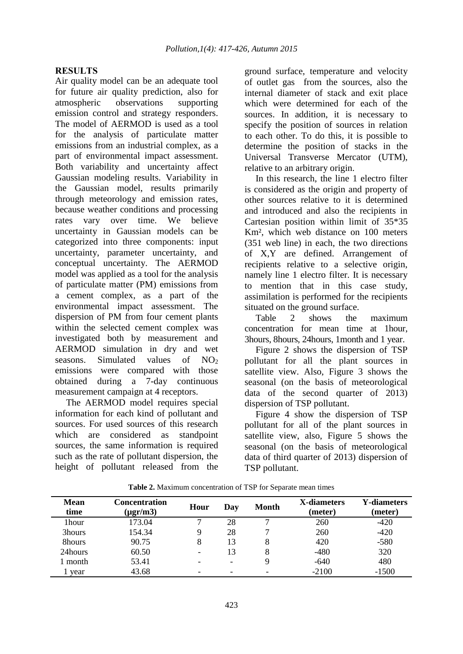### **RESULTS**

Air quality model can be an adequate tool for future air quality prediction, also for atmospheric observations supporting emission control and strategy responders. The model of AERMOD is used as a tool for the analysis of particulate matter emissions from an industrial complex, as a part of environmental impact assessment. Both variability and uncertainty affect Gaussian modeling results. Variability in the Gaussian model, results primarily through meteorology and emission rates, because weather conditions and processing rates vary over time. We believe uncertainty in Gaussian models can be categorized into three components: input uncertainty, parameter uncertainty, and conceptual uncertainty. The AERMOD model was applied as a tool for the analysis of particulate matter (PM) emissions from a cement complex, as a part of the environmental impact assessment. The dispersion of PM from four cement plants within the selected cement complex was investigated both by measurement and AERMOD simulation in dry and wet seasons. Simulated values of  $NO<sub>2</sub>$ emissions were compared with those obtained during a 7-day continuous measurement campaign at 4 receptors.

The AERMOD model requires special information for each kind of pollutant and sources. For used sources of this research which are considered as standpoint sources, the same information is required such as the rate of pollutant dispersion, the height of pollutant released from the ground surface, temperature and velocity of outlet gas from the sources, also the internal diameter of stack and exit place which were determined for each of the sources. In addition, it is necessary to specify the position of sources in relation to each other. To do this, it is possible to determine the position of stacks in the Universal Transverse Mercator (UTM), relative to an arbitrary origin.

In this research, the line 1 electro filter is considered as the origin and property of other sources relative to it is determined and introduced and also the recipients in Cartesian position within limit of 35\*35 Km², which web distance on 100 meters (351 web line) in each, the two directions of X,Y are defined. Arrangement of recipients relative to a selective origin, namely line 1 electro filter. It is necessary to mention that in this case study, assimilation is performed for the recipients situated on the ground surface.

Table 2 shows the maximum concentration for mean time at 1hour, 3hours, 8hours, 24hours, 1month and 1 year.

Figure 2 shows the dispersion of TSP pollutant for all the plant sources in satellite view. Also, Figure 3 shows the seasonal (on the basis of meteorological data of the second quarter of 2013) dispersion of TSP pollutant.

Figure 4 show the dispersion of TSP pollutant for all of the plant sources in satellite view, also, Figure 5 shows the seasonal (on the basis of meteorological data of third quarter of 2013) dispersion of TSP pollutant.

| <b>Mean</b><br>time | <b>Concentration</b><br>$(\mu$ gr/m $3)$ | Hour                     | Day                      | Month | X-diameters<br>(meter) | <b>Y-diameters</b><br>(meter) |
|---------------------|------------------------------------------|--------------------------|--------------------------|-------|------------------------|-------------------------------|
| 1hour               | 173.04                                   | ┑                        | 28                       |       | 260                    | $-420$                        |
| 3hours              | 154.34                                   |                          | 28                       |       | 260                    | $-420$                        |
| 8hours              | 90.75                                    |                          | 13                       | 8     | 420                    | $-580$                        |
| 24hours             | 60.50                                    | $\overline{\phantom{0}}$ | 13                       |       | -480                   | 320                           |
| l month             | 53.41                                    |                          | $\overline{\phantom{0}}$ |       | $-640$                 | 480                           |
| vear                | 43.68                                    |                          |                          |       | $-2100$                | $-1500$                       |

**Table 2.** Maximum concentration of TSP for Separate mean times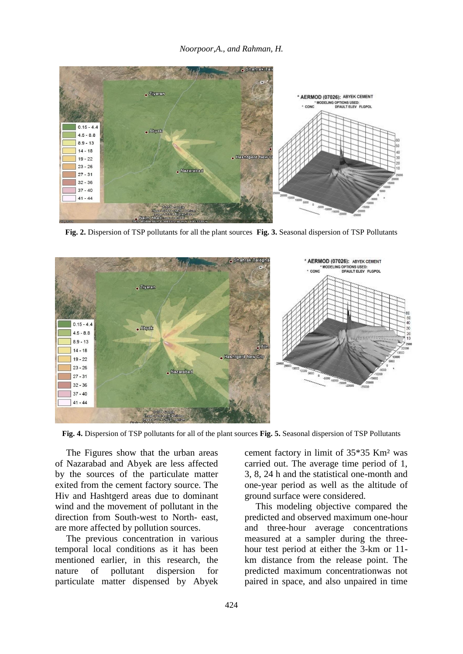*Noorpoor,A., and Rahman, H.*



**Fig. 2.** Dispersion of TSP pollutants for all the plant sources **Fig. 3.** Seasonal dispersion of TSP Pollutants



**Fig. 4.** Dispersion of TSP pollutants for all of the plant sources **Fig. 5.** Seasonal dispersion of TSP Pollutants

The Figures show that the urban areas of Nazarabad and Abyek are less affected by the sources of the particulate matter exited from the cement factory source. The Hiv and Hashtgerd areas due to dominant wind and the movement of pollutant in the direction from South-west to North- east, are more affected by pollution sources.

The previous concentration in various temporal local conditions as it has been mentioned earlier, in this research, the nature of pollutant dispersion for particulate matter dispensed by Abyek

cement factory in limit of 35\*35 Km² was carried out. The average time period of 1, 3, 8, 24 h and the statistical one-month and one-year period as well as the altitude of ground surface were considered.

This modeling objective compared the predicted and observed maximum one-hour and three-hour average concentrations measured at a sampler during the threehour test period at either the 3-km or 11 km distance from the release point. The predicted maximum concentrationwas not paired in space, and also unpaired in time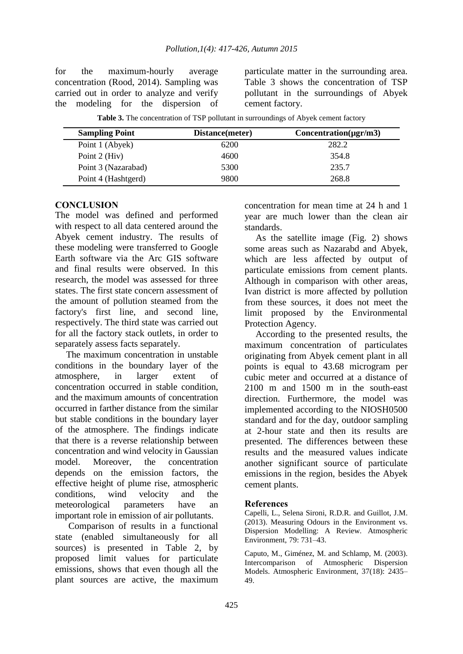for the maximum-hourly average concentration (Rood, 2014). Sampling was carried out in order to analyze and verify the modeling for the dispersion of particulate matter in the surrounding area. Table 3 shows the concentration of TSP pollutant in the surroundings of Abyek cement factory.

| <b>Sampling Point</b> | Distance(meter) | $Concentration(\mu gr/m3)$ |
|-----------------------|-----------------|----------------------------|
| Point 1 (Abyek)       | 6200            | 282.2                      |
| Point $2$ (Hiv)       | 4600            | 354.8                      |
| Point 3 (Nazarabad)   | 5300            | 235.7                      |
| Point 4 (Hashtgerd)   | 9800            | 268.8                      |

**Table 3.** The concentration of TSP pollutant in surroundings of Abyek cement factory

### **CONCLUSION**

L,

The model was defined and performed with respect to all data centered around the Abyek cement industry. The results of these modeling were transferred to Google Earth software via the Arc GIS software and final results were observed. In this research, the model was assessed for three states. The first state concern assessment of the amount of pollution steamed from the factory's first line, and second line, respectively. The third state was carried out for all the factory stack outlets, in order to separately assess facts separately.

The maximum concentration in unstable conditions in the boundary layer of the atmosphere, in larger extent of concentration occurred in stable condition, and the maximum amounts of concentration occurred in farther distance from the similar but stable conditions in the boundary layer of the atmosphere. The findings indicate that there is a reverse relationship between concentration and wind velocity in Gaussian model. Moreover, the concentration depends on the emission factors, the effective height of plume rise, atmospheric conditions, wind velocity and the meteorological parameters have an important role in emission of air pollutants.

Comparison of results in a functional state (enabled simultaneously for all sources) is presented in Table 2, by proposed limit values for particulate emissions, shows that even though all the plant sources are active, the maximum concentration for mean time at 24 h and 1 year are much lower than the clean air standards.

As the satellite image (Fig. 2) shows some areas such as Nazarabd and Abyek, which are less affected by output of particulate emissions from cement plants. Although in comparison with other areas, Ivan district is more affected by pollution from these sources, it does not meet the limit proposed by the Environmental Protection Agency.

According to the presented results, the maximum concentration of particulates originating from Abyek cement plant in all points is equal to 43.68 microgram per cubic meter and occurred at a distance of 2100 m and 1500 m in the south-east direction. Furthermore, the model was implemented according to the NIOSH0500 standard and for the day, outdoor sampling at 2-hour state and then its results are presented. The differences between these results and the measured values indicate another significant source of particulate emissions in the region, besides the Abyek cement plants.

### **References**

Capelli, L., Selena Sironi, R.D.R. and Guillot, J.M. (2013). Measuring Odours in the Environment vs. Dispersion Modelling: A Review. Atmospheric Environment, 79: 731–43.

Caputo, M., Giménez, M. and Schlamp, M. (2003). Intercomparison of Atmospheric Dispersion Models. Atmospheric Environment, 37(18): 2435– 49.